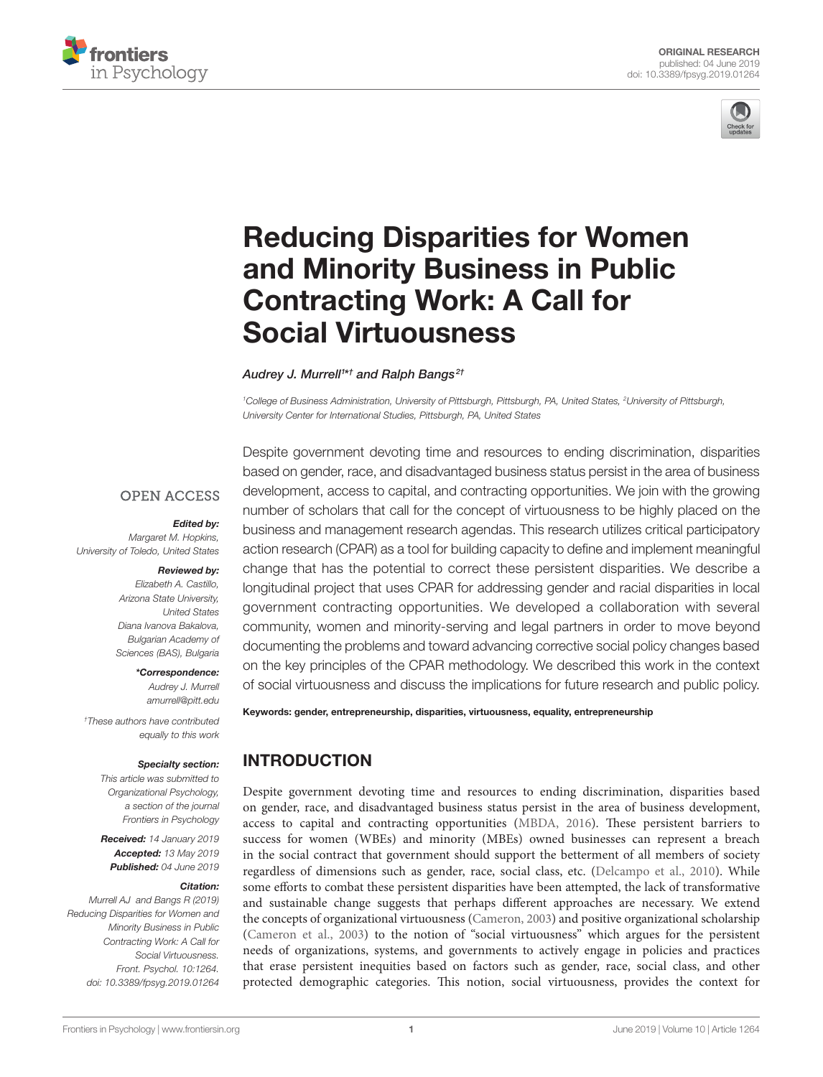



# [Reducing Disparities for Women](https://www.frontiersin.org/articles/10.3389/fpsyg.2019.01264/full)  [and Minority Business in Public](https://www.frontiersin.org/articles/10.3389/fpsyg.2019.01264/full)  [Contracting Work: A Call for](https://www.frontiersin.org/articles/10.3389/fpsyg.2019.01264/full)  [Social Virtuousness](https://www.frontiersin.org/articles/10.3389/fpsyg.2019.01264/full)

*[Audrey J. Murrell1](https://loop.frontiersin.org/people/670757/overview) \*† and Ralph Bangs 2†*

*1 College of Business Administration, University of Pittsburgh, Pittsburgh, PA, United States, 2 University of Pittsburgh, University Center for International Studies, Pittsburgh, PA, United States*

#### **OPEN ACCESS**

#### *Edited by:*

*Margaret M. Hopkins, University of Toledo, United States*

#### *Reviewed by: Elizabeth A. Castillo,*

*Arizona State University, United States Diana Ivanova Bakalova, Bulgarian Academy of Sciences (BAS), Bulgaria*

#### *\*Correspondence:*

*Audrey J. Murrell [amurrell@pitt.edu](mailto:amurrell@pitt.edu)*

*† These authors have contributed equally to this work*

#### *Specialty section:*

*This article was submitted to Organizational Psychology, a section of the journal Frontiers in Psychology*

*Received: 14 January 2019 Accepted: 13 May 2019 Published: 04 June 2019*

#### *Citation:*

*Murrell AJ and Bangs R (2019) Reducing Disparities for Women and Minority Business in Public Contracting Work: A Call for Social Virtuousness. Front. Psychol. 10:1264. [doi: 10.3389/fpsyg.2019.01264](https://doi.org/10.3389/fpsyg.2019.01264)*

Despite government devoting time and resources to ending discrimination, disparities based on gender, race, and disadvantaged business status persist in the area of business development, access to capital, and contracting opportunities. We join with the growing number of scholars that call for the concept of virtuousness to be highly placed on the business and management research agendas. This research utilizes critical participatory action research (CPAR) as a tool for building capacity to define and implement meaningful change that has the potential to correct these persistent disparities. We describe a longitudinal project that uses CPAR for addressing gender and racial disparities in local government contracting opportunities. We developed a collaboration with several community, women and minority-serving and legal partners in order to move beyond documenting the problems and toward advancing corrective social policy changes based on the key principles of the CPAR methodology. We described this work in the context of social virtuousness and discuss the implications for future research and public policy.

Keywords: gender, entrepreneurship, disparities, virtuousness, equality, entrepreneurship

# INTRODUCTION

Despite government devoting time and resources to ending discrimination, disparities based on gender, race, and disadvantaged business status persist in the area of business development, access to capital and contracting opportunities [\(MBDA, 2016\)](#page-7-0). These persistent barriers to success for women (WBEs) and minority (MBEs) owned businesses can represent a breach in the social contract that government should support the betterment of all members of society regardless of dimensions such as gender, race, social class, etc. [\(Delcampo et al., 2010](#page-7-1)). While some efforts to combat these persistent disparities have been attempted, the lack of transformative and sustainable change suggests that perhaps different approaches are necessary. We extend the concepts of organizational virtuousness ([Cameron, 2003](#page-7-2)) and positive organizational scholarship [\(Cameron et al., 2003](#page-7-3)) to the notion of "social virtuousness" which argues for the persistent needs of organizations, systems, and governments to actively engage in policies and practices that erase persistent inequities based on factors such as gender, race, social class, and other protected demographic categories. This notion, social virtuousness, provides the context for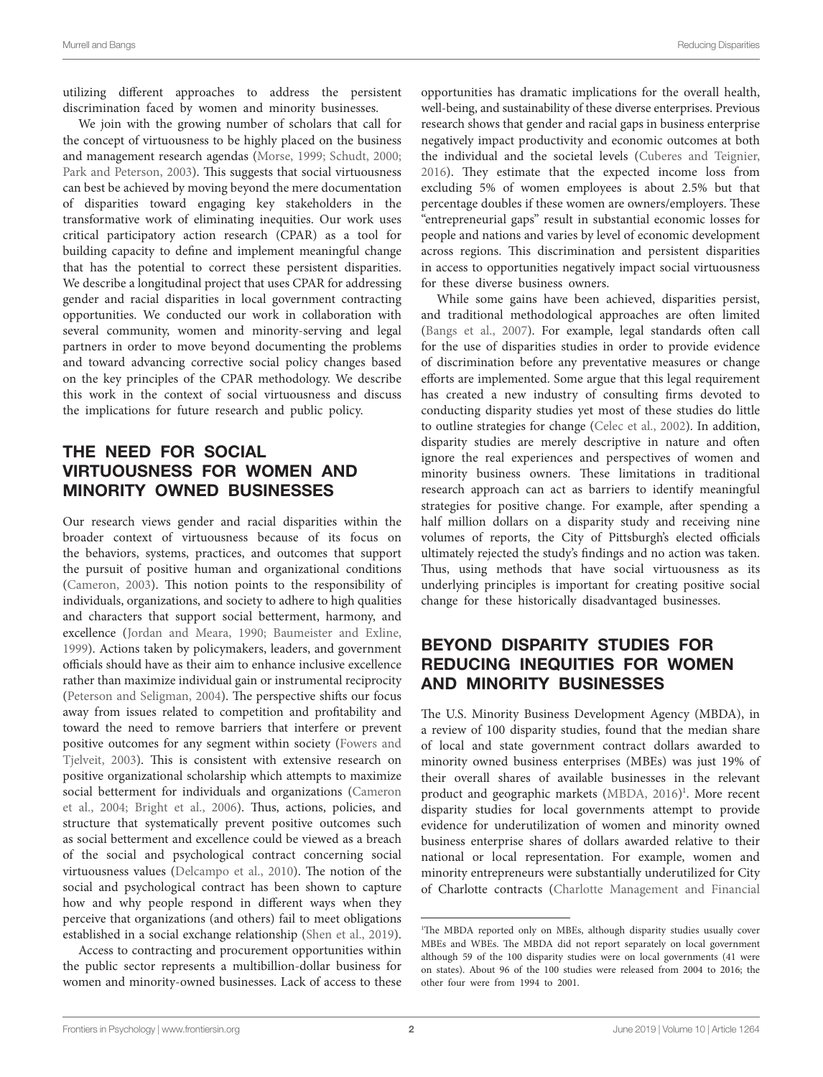utilizing different approaches to address the persistent discrimination faced by women and minority businesses.

We join with the growing number of scholars that call for the concept of virtuousness to be highly placed on the business and management research agendas [\(Morse, 1999](#page-7-4); [Schudt, 2000](#page-7-5); [Park and Peterson, 2003\)](#page-7-6). This suggests that social virtuousness can best be achieved by moving beyond the mere documentation of disparities toward engaging key stakeholders in the transformative work of eliminating inequities. Our work uses critical participatory action research (CPAR) as a tool for building capacity to define and implement meaningful change that has the potential to correct these persistent disparities. We describe a longitudinal project that uses CPAR for addressing gender and racial disparities in local government contracting opportunities. We conducted our work in collaboration with several community, women and minority-serving and legal partners in order to move beyond documenting the problems and toward advancing corrective social policy changes based on the key principles of the CPAR methodology. We describe this work in the context of social virtuousness and discuss the implications for future research and public policy.

# THE NEED FOR SOCIAL VIRTUOUSNESS FOR WOMEN AND MINORITY OWNED BUSINESSES

Our research views gender and racial disparities within the broader context of virtuousness because of its focus on the behaviors, systems, practices, and outcomes that support the pursuit of positive human and organizational conditions ([Cameron, 2003](#page-7-2)). This notion points to the responsibility of individuals, organizations, and society to adhere to high qualities and characters that support social betterment, harmony, and excellence [\(Jordan and Meara, 1990;](#page-7-7) [Baumeister and Exline,](#page-7-8)  [1999\)](#page-7-8). Actions taken by policymakers, leaders, and government officials should have as their aim to enhance inclusive excellence rather than maximize individual gain or instrumental reciprocity ([Peterson and Seligman, 2004\)](#page-7-9). The perspective shifts our focus away from issues related to competition and profitability and toward the need to remove barriers that interfere or prevent positive outcomes for any segment within society ([Fowers and](#page-7-10)  [Tjelveit, 2003\)](#page-7-10). This is consistent with extensive research on positive organizational scholarship which attempts to maximize social betterment for individuals and organizations ([Cameron](#page-7-11)  [et al., 2004;](#page-7-11) [Bright et al., 2006](#page-7-12)). Thus, actions, policies, and structure that systematically prevent positive outcomes such as social betterment and excellence could be viewed as a breach of the social and psychological contract concerning social virtuousness values ([Delcampo et al., 2010](#page-7-1)). The notion of the social and psychological contract has been shown to capture how and why people respond in different ways when they perceive that organizations (and others) fail to meet obligations established in a social exchange relationship ([Shen et al., 2019](#page-7-13)).

Access to contracting and procurement opportunities within the public sector represents a multibillion-dollar business for women and minority-owned businesses. Lack of access to these opportunities has dramatic implications for the overall health, well-being, and sustainability of these diverse enterprises. Previous research shows that gender and racial gaps in business enterprise negatively impact productivity and economic outcomes at both the individual and the societal levels [\(Cuberes and Teignier,](#page-7-14)  [2016\)](#page-7-14). They estimate that the expected income loss from excluding 5% of women employees is about 2.5% but that percentage doubles if these women are owners/employers. These "entrepreneurial gaps" result in substantial economic losses for people and nations and varies by level of economic development across regions. This discrimination and persistent disparities in access to opportunities negatively impact social virtuousness for these diverse business owners.

While some gains have been achieved, disparities persist, and traditional methodological approaches are often limited [\(Bangs et al., 2007\)](#page-7-15). For example, legal standards often call for the use of disparities studies in order to provide evidence of discrimination before any preventative measures or change efforts are implemented. Some argue that this legal requirement has created a new industry of consulting firms devoted to conducting disparity studies yet most of these studies do little to outline strategies for change [\(Celec et al., 2002](#page-7-16)). In addition, disparity studies are merely descriptive in nature and often ignore the real experiences and perspectives of women and minority business owners. These limitations in traditional research approach can act as barriers to identify meaningful strategies for positive change. For example, after spending a half million dollars on a disparity study and receiving nine volumes of reports, the City of Pittsburgh's elected officials ultimately rejected the study's findings and no action was taken. Thus, using methods that have social virtuousness as its underlying principles is important for creating positive social change for these historically disadvantaged businesses.

# BEYOND DISPARITY STUDIES FOR REDUCING INEQUITIES FOR WOMEN AND MINORITY BUSINESSES

The U.S. Minority Business Development Agency (MBDA), in a review of 100 disparity studies, found that the median share of local and state government contract dollars awarded to minority owned business enterprises (MBEs) was just 19% of their overall shares of available businesses in the relevant product and geographic markets [\(MBDA, 2016\)](#page-7-0) [1](#page-1-0) . More recent disparity studies for local governments attempt to provide evidence for underutilization of women and minority owned business enterprise shares of dollars awarded relative to their national or local representation. For example, women and minority entrepreneurs were substantially underutilized for City of Charlotte contracts ([Charlotte Management and Financial](#page-7-17) 

<span id="page-1-0"></span><sup>&</sup>lt;sup>1</sup>The MBDA reported only on MBEs, although disparity studies usually cover MBEs and WBEs. The MBDA did not report separately on local government although 59 of the 100 disparity studies were on local governments (41 were on states). About 96 of the 100 studies were released from 2004 to 2016; the other four were from 1994 to 2001.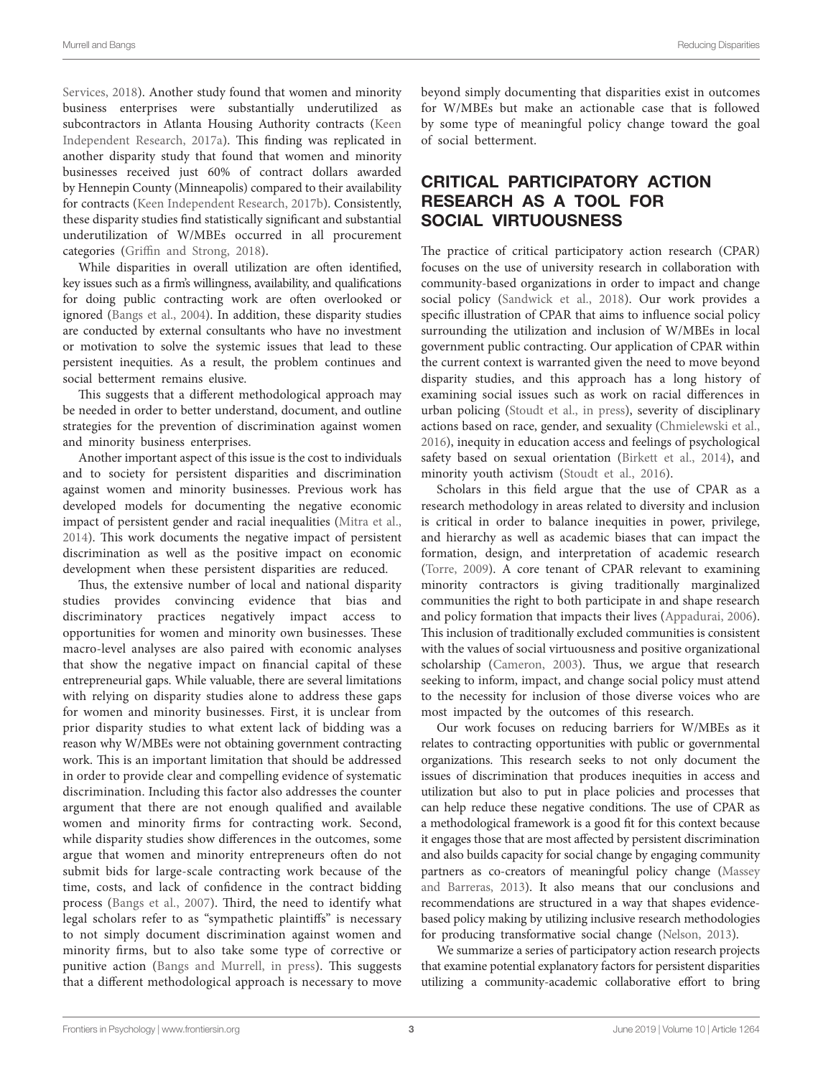[Services, 2018\)](#page-7-17). Another study found that women and minority business enterprises were substantially underutilized as subcontractors in Atlanta Housing Authority contracts [\(Keen](#page-7-18)  [Independent Research, 2017a](#page-7-18)). This finding was replicated in another disparity study that found that women and minority businesses received just 60% of contract dollars awarded by Hennepin County (Minneapolis) compared to their availability for contracts [\(Keen Independent Research, 2017b\)](#page-7-19). Consistently, these disparity studies find statistically significant and substantial underutilization of W/MBEs occurred in all procurement categories ([Griffin and Strong, 2018\)](#page-7-20).

While disparities in overall utilization are often identified, key issues such as a firm's willingness, availability, and qualifications for doing public contracting work are often overlooked or ignored ([Bangs et al., 2004\)](#page-7-21). In addition, these disparity studies are conducted by external consultants who have no investment or motivation to solve the systemic issues that lead to these persistent inequities. As a result, the problem continues and social betterment remains elusive.

This suggests that a different methodological approach may be needed in order to better understand, document, and outline strategies for the prevention of discrimination against women and minority business enterprises.

Another important aspect of this issue is the cost to individuals and to society for persistent disparities and discrimination against women and minority businesses. Previous work has developed models for documenting the negative economic impact of persistent gender and racial inequalities [\(Mitra et al.,](#page-7-22)  [2014\)](#page-7-22). This work documents the negative impact of persistent discrimination as well as the positive impact on economic development when these persistent disparities are reduced.

Thus, the extensive number of local and national disparity studies provides convincing evidence that bias and discriminatory practices negatively impact access to opportunities for women and minority own businesses. These macro-level analyses are also paired with economic analyses that show the negative impact on financial capital of these entrepreneurial gaps. While valuable, there are several limitations with relying on disparity studies alone to address these gaps for women and minority businesses. First, it is unclear from prior disparity studies to what extent lack of bidding was a reason why W/MBEs were not obtaining government contracting work. This is an important limitation that should be addressed in order to provide clear and compelling evidence of systematic discrimination. Including this factor also addresses the counter argument that there are not enough qualified and available women and minority firms for contracting work. Second, while disparity studies show differences in the outcomes, some argue that women and minority entrepreneurs often do not submit bids for large-scale contracting work because of the time, costs, and lack of confidence in the contract bidding process [\(Bangs et al., 2007](#page-7-15)). Third, the need to identify what legal scholars refer to as "sympathetic plaintiffs" is necessary to not simply document discrimination against women and minority firms, but to also take some type of corrective or punitive action ([Bangs and Murrell, in press](#page-7-23)). This suggests that a different methodological approach is necessary to move

beyond simply documenting that disparities exist in outcomes for W/MBEs but make an actionable case that is followed by some type of meaningful policy change toward the goal of social betterment.

# CRITICAL PARTICIPATORY ACTION RESEARCH AS A TOOL FOR SOCIAL VIRTUOUSNESS

The practice of critical participatory action research (CPAR) focuses on the use of university research in collaboration with community-based organizations in order to impact and change social policy ([Sandwick et al., 2018\)](#page-7-24). Our work provides a specific illustration of CPAR that aims to influence social policy surrounding the utilization and inclusion of W/MBEs in local government public contracting. Our application of CPAR within the current context is warranted given the need to move beyond disparity studies, and this approach has a long history of examining social issues such as work on racial differences in urban policing ([Stoudt et al., in press](#page-8-0)), severity of disciplinary actions based on race, gender, and sexuality ([Chmielewski et al.,](#page-7-25)  [2016\)](#page-7-25), inequity in education access and feelings of psychological safety based on sexual orientation [\(Birkett et al., 2014\)](#page-7-26), and minority youth activism [\(Stoudt et al., 2016\)](#page-8-1).

Scholars in this field argue that the use of CPAR as a research methodology in areas related to diversity and inclusion is critical in order to balance inequities in power, privilege, and hierarchy as well as academic biases that can impact the formation, design, and interpretation of academic research [\(Torre, 2009](#page-8-2)). A core tenant of CPAR relevant to examining minority contractors is giving traditionally marginalized communities the right to both participate in and shape research and policy formation that impacts their lives [\(Appadurai, 2006](#page-7-27)). This inclusion of traditionally excluded communities is consistent with the values of social virtuousness and positive organizational scholarship ([Cameron, 2003](#page-7-2)). Thus, we argue that research seeking to inform, impact, and change social policy must attend to the necessity for inclusion of those diverse voices who are most impacted by the outcomes of this research.

Our work focuses on reducing barriers for W/MBEs as it relates to contracting opportunities with public or governmental organizations. This research seeks to not only document the issues of discrimination that produces inequities in access and utilization but also to put in place policies and processes that can help reduce these negative conditions. The use of CPAR as a methodological framework is a good fit for this context because it engages those that are most affected by persistent discrimination and also builds capacity for social change by engaging community partners as co-creators of meaningful policy change ([Massey](#page-7-28)  [and Barreras, 2013\)](#page-7-28). It also means that our conclusions and recommendations are structured in a way that shapes evidencebased policy making by utilizing inclusive research methodologies for producing transformative social change [\(Nelson, 2013](#page-7-29)).

We summarize a series of participatory action research projects that examine potential explanatory factors for persistent disparities utilizing a community-academic collaborative effort to bring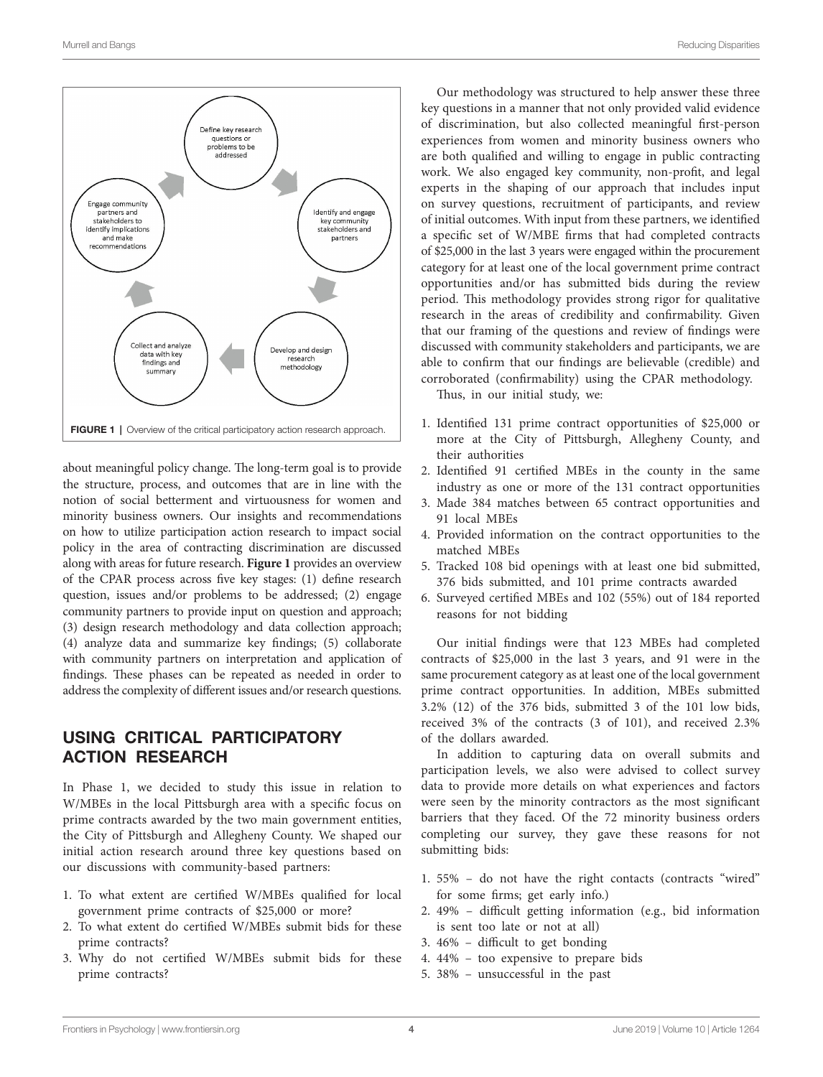<span id="page-3-0"></span>

about meaningful policy change. The long-term goal is to provide the structure, process, and outcomes that are in line with the notion of social betterment and virtuousness for women and minority business owners. Our insights and recommendations on how to utilize participation action research to impact social policy in the area of contracting discrimination are discussed along with areas for future research. **[Figure 1](#page-3-0)** provides an overview of the CPAR process across five key stages: (1) define research question, issues and/or problems to be addressed; (2) engage community partners to provide input on question and approach; (3) design research methodology and data collection approach; (4) analyze data and summarize key findings; (5) collaborate with community partners on interpretation and application of findings. These phases can be repeated as needed in order to address the complexity of different issues and/or research questions.

#### USING CRITICAL PARTICIPATORY ACTION RESEARCH

In Phase 1, we decided to study this issue in relation to W/MBEs in the local Pittsburgh area with a specific focus on prime contracts awarded by the two main government entities, the City of Pittsburgh and Allegheny County. We shaped our initial action research around three key questions based on our discussions with community-based partners:

- 1. To what extent are certified W/MBEs qualified for local government prime contracts of \$25,000 or more?
- 2. To what extent do certified W/MBEs submit bids for these prime contracts?
- 3. Why do not certified W/MBEs submit bids for these prime contracts?

Our methodology was structured to help answer these three key questions in a manner that not only provided valid evidence of discrimination, but also collected meaningful first-person experiences from women and minority business owners who are both qualified and willing to engage in public contracting work. We also engaged key community, non-profit, and legal experts in the shaping of our approach that includes input on survey questions, recruitment of participants, and review of initial outcomes. With input from these partners, we identified a specific set of W/MBE firms that had completed contracts of \$25,000 in the last 3 years were engaged within the procurement category for at least one of the local government prime contract opportunities and/or has submitted bids during the review period. This methodology provides strong rigor for qualitative research in the areas of credibility and confirmability. Given that our framing of the questions and review of findings were discussed with community stakeholders and participants, we are able to confirm that our findings are believable (credible) and corroborated (confirmability) using the CPAR methodology.

Thus, in our initial study, we:

- 1. Identified 131 prime contract opportunities of \$25,000 or more at the City of Pittsburgh, Allegheny County, and their authorities
- 2. Identified 91 certified MBEs in the county in the same industry as one or more of the 131 contract opportunities
- 3. Made 384 matches between 65 contract opportunities and 91 local MBEs
- 4. Provided information on the contract opportunities to the matched MBEs
- 5. Tracked 108 bid openings with at least one bid submitted, 376 bids submitted, and 101 prime contracts awarded
- 6. Surveyed certified MBEs and 102 (55%) out of 184 reported reasons for not bidding

Our initial findings were that 123 MBEs had completed contracts of \$25,000 in the last 3 years, and 91 were in the same procurement category as at least one of the local government prime contract opportunities. In addition, MBEs submitted 3.2% (12) of the 376 bids, submitted 3 of the 101 low bids, received 3% of the contracts (3 of 101), and received 2.3% of the dollars awarded.

In addition to capturing data on overall submits and participation levels, we also were advised to collect survey data to provide more details on what experiences and factors were seen by the minority contractors as the most significant barriers that they faced. Of the 72 minority business orders completing our survey, they gave these reasons for not submitting bids:

- 1. 55% do not have the right contacts (contracts "wired" for some firms; get early info.)
- 2. 49% difficult getting information (e.g., bid information is sent too late or not at all)
- 3. 46% difficult to get bonding
- 4. 44% too expensive to prepare bids
- 5. 38% unsuccessful in the past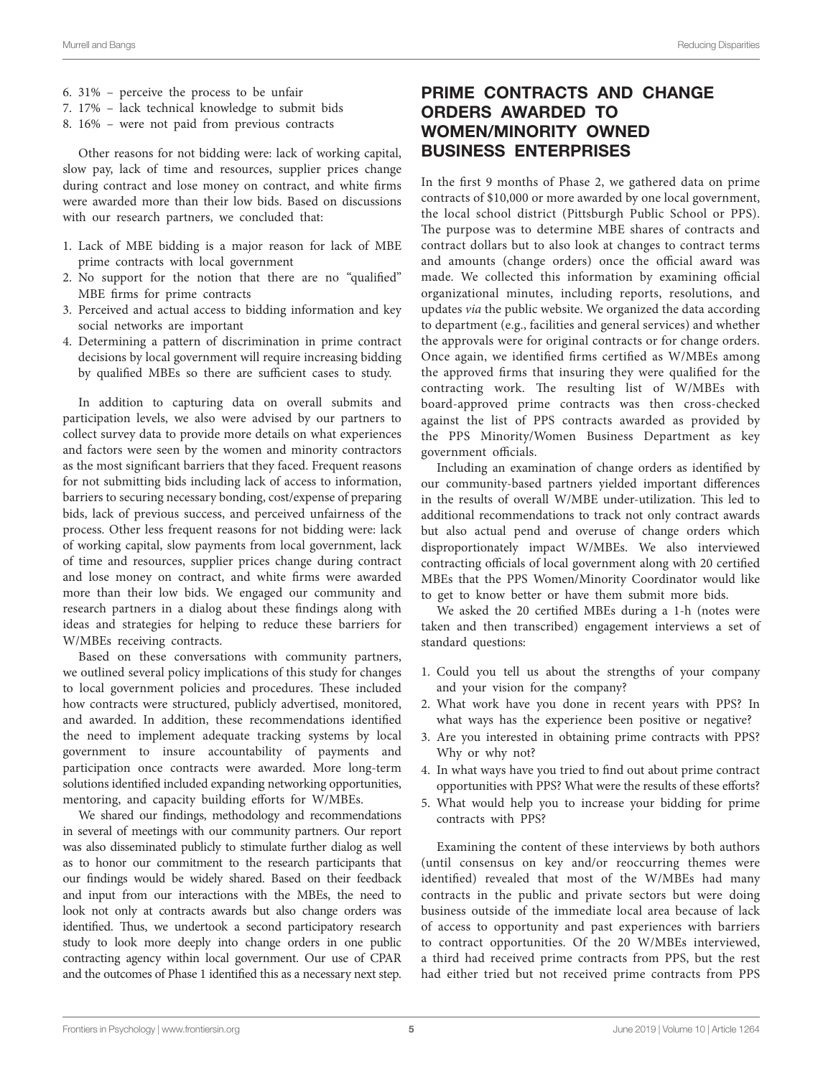- 6. 31% perceive the process to be unfair
- 7. 17% lack technical knowledge to submit bids
- 8. 16% were not paid from previous contracts

Other reasons for not bidding were: lack of working capital, slow pay, lack of time and resources, supplier prices change during contract and lose money on contract, and white firms were awarded more than their low bids. Based on discussions with our research partners, we concluded that:

- 1. Lack of MBE bidding is a major reason for lack of MBE prime contracts with local government
- 2. No support for the notion that there are no "qualified" MBE firms for prime contracts
- 3. Perceived and actual access to bidding information and key social networks are important
- 4. Determining a pattern of discrimination in prime contract decisions by local government will require increasing bidding by qualified MBEs so there are sufficient cases to study.

In addition to capturing data on overall submits and participation levels, we also were advised by our partners to collect survey data to provide more details on what experiences and factors were seen by the women and minority contractors as the most significant barriers that they faced. Frequent reasons for not submitting bids including lack of access to information, barriers to securing necessary bonding, cost/expense of preparing bids, lack of previous success, and perceived unfairness of the process. Other less frequent reasons for not bidding were: lack of working capital, slow payments from local government, lack of time and resources, supplier prices change during contract and lose money on contract, and white firms were awarded more than their low bids. We engaged our community and research partners in a dialog about these findings along with ideas and strategies for helping to reduce these barriers for W/MBEs receiving contracts.

Based on these conversations with community partners, we outlined several policy implications of this study for changes to local government policies and procedures. These included how contracts were structured, publicly advertised, monitored, and awarded. In addition, these recommendations identified the need to implement adequate tracking systems by local government to insure accountability of payments and participation once contracts were awarded. More long-term solutions identified included expanding networking opportunities, mentoring, and capacity building efforts for W/MBEs.

We shared our findings, methodology and recommendations in several of meetings with our community partners. Our report was also disseminated publicly to stimulate further dialog as well as to honor our commitment to the research participants that our findings would be widely shared. Based on their feedback and input from our interactions with the MBEs, the need to look not only at contracts awards but also change orders was identified. Thus, we undertook a second participatory research study to look more deeply into change orders in one public contracting agency within local government. Our use of CPAR and the outcomes of Phase 1 identified this as a necessary next step.

### PRIME CONTRACTS AND CHANGE ORDERS AWARDED TO WOMEN/MINORITY OWNED BUSINESS ENTERPRISES

In the first 9 months of Phase 2, we gathered data on prime contracts of \$10,000 or more awarded by one local government, the local school district (Pittsburgh Public School or PPS). The purpose was to determine MBE shares of contracts and contract dollars but to also look at changes to contract terms and amounts (change orders) once the official award was made. We collected this information by examining official organizational minutes, including reports, resolutions, and updates *via* the public website. We organized the data according to department (e.g., facilities and general services) and whether the approvals were for original contracts or for change orders. Once again, we identified firms certified as W/MBEs among the approved firms that insuring they were qualified for the contracting work. The resulting list of W/MBEs with board-approved prime contracts was then cross-checked against the list of PPS contracts awarded as provided by the PPS Minority/Women Business Department as key government officials.

Including an examination of change orders as identified by our community-based partners yielded important differences in the results of overall W/MBE under-utilization. This led to additional recommendations to track not only contract awards but also actual pend and overuse of change orders which disproportionately impact W/MBEs. We also interviewed contracting officials of local government along with 20 certified MBEs that the PPS Women/Minority Coordinator would like to get to know better or have them submit more bids.

We asked the 20 certified MBEs during a 1-h (notes were taken and then transcribed) engagement interviews a set of standard questions:

- 1. Could you tell us about the strengths of your company and your vision for the company?
- 2. What work have you done in recent years with PPS? In what ways has the experience been positive or negative?
- 3. Are you interested in obtaining prime contracts with PPS? Why or why not?
- 4. In what ways have you tried to find out about prime contract opportunities with PPS? What were the results of these efforts?
- 5. What would help you to increase your bidding for prime contracts with PPS?

Examining the content of these interviews by both authors (until consensus on key and/or reoccurring themes were identified) revealed that most of the W/MBEs had many contracts in the public and private sectors but were doing business outside of the immediate local area because of lack of access to opportunity and past experiences with barriers to contract opportunities. Of the 20 W/MBEs interviewed, a third had received prime contracts from PPS, but the rest had either tried but not received prime contracts from PPS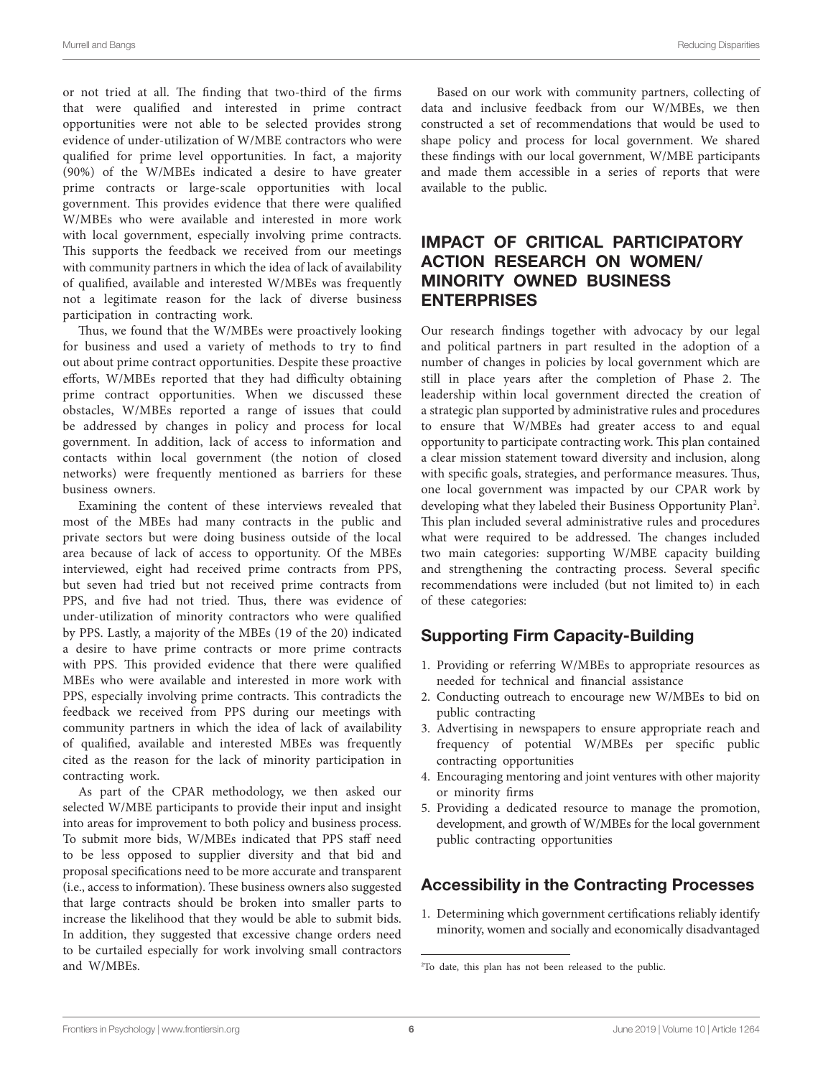or not tried at all. The finding that two-third of the firms that were qualified and interested in prime contract opportunities were not able to be selected provides strong evidence of under-utilization of W/MBE contractors who were qualified for prime level opportunities. In fact, a majority (90%) of the W/MBEs indicated a desire to have greater prime contracts or large-scale opportunities with local government. This provides evidence that there were qualified W/MBEs who were available and interested in more work with local government, especially involving prime contracts. This supports the feedback we received from our meetings with community partners in which the idea of lack of availability of qualified, available and interested W/MBEs was frequently not a legitimate reason for the lack of diverse business participation in contracting work.

Thus, we found that the W/MBEs were proactively looking for business and used a variety of methods to try to find out about prime contract opportunities. Despite these proactive efforts, W/MBEs reported that they had difficulty obtaining prime contract opportunities. When we discussed these obstacles, W/MBEs reported a range of issues that could be addressed by changes in policy and process for local government. In addition, lack of access to information and contacts within local government (the notion of closed networks) were frequently mentioned as barriers for these business owners.

Examining the content of these interviews revealed that most of the MBEs had many contracts in the public and private sectors but were doing business outside of the local area because of lack of access to opportunity. Of the MBEs interviewed, eight had received prime contracts from PPS, but seven had tried but not received prime contracts from PPS, and five had not tried. Thus, there was evidence of under-utilization of minority contractors who were qualified by PPS. Lastly, a majority of the MBEs (19 of the 20) indicated a desire to have prime contracts or more prime contracts with PPS. This provided evidence that there were qualified MBEs who were available and interested in more work with PPS, especially involving prime contracts. This contradicts the feedback we received from PPS during our meetings with community partners in which the idea of lack of availability of qualified, available and interested MBEs was frequently cited as the reason for the lack of minority participation in contracting work.

As part of the CPAR methodology, we then asked our selected W/MBE participants to provide their input and insight into areas for improvement to both policy and business process. To submit more bids, W/MBEs indicated that PPS staff need to be less opposed to supplier diversity and that bid and proposal specifications need to be more accurate and transparent (i.e., access to information). These business owners also suggested that large contracts should be broken into smaller parts to increase the likelihood that they would be able to submit bids. In addition, they suggested that excessive change orders need to be curtailed especially for work involving small contractors and W/MBEs.

Based on our work with community partners, collecting of data and inclusive feedback from our W/MBEs, we then constructed a set of recommendations that would be used to shape policy and process for local government. We shared these findings with our local government, W/MBE participants and made them accessible in a series of reports that were available to the public.

# IMPACT OF CRITICAL PARTICIPATORY ACTION RESEARCH ON WOMEN/ MINORITY OWNED BUSINESS **ENTERPRISES**

Our research findings together with advocacy by our legal and political partners in part resulted in the adoption of a number of changes in policies by local government which are still in place years after the completion of Phase 2. The leadership within local government directed the creation of a strategic plan supported by administrative rules and procedures to ensure that W/MBEs had greater access to and equal opportunity to participate contracting work. This plan contained a clear mission statement toward diversity and inclusion, along with specific goals, strategies, and performance measures. Thus, one local government was impacted by our CPAR work by developing what they labeled their Business Opportunity Plan<sup>[2](#page-5-0)</sup>. This plan included several administrative rules and procedures what were required to be addressed. The changes included two main categories: supporting W/MBE capacity building and strengthening the contracting process. Several specific recommendations were included (but not limited to) in each of these categories:

## Supporting Firm Capacity-Building

- 1. Providing or referring W/MBEs to appropriate resources as needed for technical and financial assistance
- 2. Conducting outreach to encourage new W/MBEs to bid on public contracting
- 3. Advertising in newspapers to ensure appropriate reach and frequency of potential W/MBEs per specific public contracting opportunities
- 4. Encouraging mentoring and joint ventures with other majority or minority firms
- 5. Providing a dedicated resource to manage the promotion, development, and growth of W/MBEs for the local government public contracting opportunities

## Accessibility in the Contracting Processes

1. Determining which government certifications reliably identify minority, women and socially and economically disadvantaged

<span id="page-5-0"></span><sup>2</sup> To date, this plan has not been released to the public.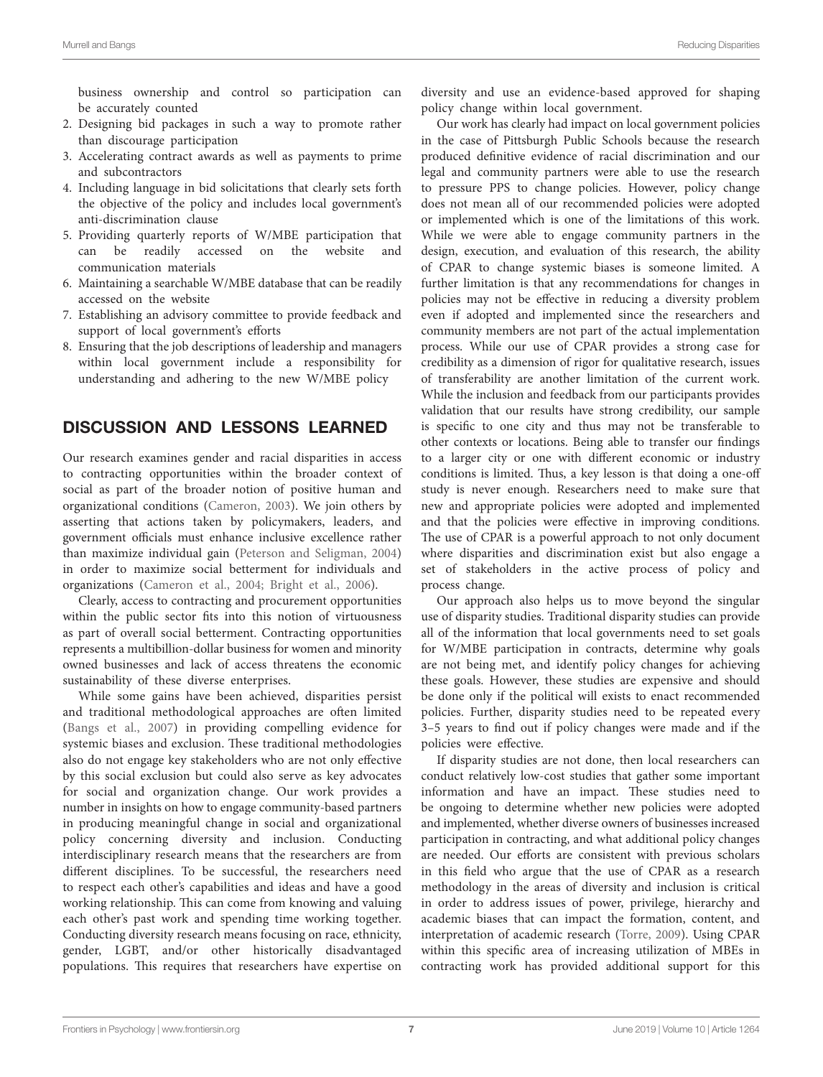business ownership and control so participation can be accurately counted

- 2. Designing bid packages in such a way to promote rather than discourage participation
- 3. Accelerating contract awards as well as payments to prime and subcontractors
- 4. Including language in bid solicitations that clearly sets forth the objective of the policy and includes local government's anti-discrimination clause
- 5. Providing quarterly reports of W/MBE participation that can be readily accessed on the website and communication materials
- 6. Maintaining a searchable W/MBE database that can be readily accessed on the website
- 7. Establishing an advisory committee to provide feedback and support of local government's efforts
- 8. Ensuring that the job descriptions of leadership and managers within local government include a responsibility for understanding and adhering to the new W/MBE policy

#### DISCUSSION AND LESSONS LEARNED

Our research examines gender and racial disparities in access to contracting opportunities within the broader context of social as part of the broader notion of positive human and organizational conditions ([Cameron, 2003](#page-7-2)). We join others by asserting that actions taken by policymakers, leaders, and government officials must enhance inclusive excellence rather than maximize individual gain [\(Peterson and Seligman, 2004](#page-7-9)) in order to maximize social betterment for individuals and organizations [\(Cameron et al., 2004;](#page-7-11) [Bright et al., 2006](#page-7-12)).

Clearly, access to contracting and procurement opportunities within the public sector fits into this notion of virtuousness as part of overall social betterment. Contracting opportunities represents a multibillion-dollar business for women and minority owned businesses and lack of access threatens the economic sustainability of these diverse enterprises.

While some gains have been achieved, disparities persist and traditional methodological approaches are often limited ([Bangs et al., 2007](#page-7-15)) in providing compelling evidence for systemic biases and exclusion. These traditional methodologies also do not engage key stakeholders who are not only effective by this social exclusion but could also serve as key advocates for social and organization change. Our work provides a number in insights on how to engage community-based partners in producing meaningful change in social and organizational policy concerning diversity and inclusion. Conducting interdisciplinary research means that the researchers are from different disciplines. To be successful, the researchers need to respect each other's capabilities and ideas and have a good working relationship. This can come from knowing and valuing each other's past work and spending time working together. Conducting diversity research means focusing on race, ethnicity, gender, LGBT, and/or other historically disadvantaged populations. This requires that researchers have expertise on diversity and use an evidence-based approved for shaping policy change within local government.

Our work has clearly had impact on local government policies in the case of Pittsburgh Public Schools because the research produced definitive evidence of racial discrimination and our legal and community partners were able to use the research to pressure PPS to change policies. However, policy change does not mean all of our recommended policies were adopted or implemented which is one of the limitations of this work. While we were able to engage community partners in the design, execution, and evaluation of this research, the ability of CPAR to change systemic biases is someone limited. A further limitation is that any recommendations for changes in policies may not be effective in reducing a diversity problem even if adopted and implemented since the researchers and community members are not part of the actual implementation process. While our use of CPAR provides a strong case for credibility as a dimension of rigor for qualitative research, issues of transferability are another limitation of the current work. While the inclusion and feedback from our participants provides validation that our results have strong credibility, our sample is specific to one city and thus may not be transferable to other contexts or locations. Being able to transfer our findings to a larger city or one with different economic or industry conditions is limited. Thus, a key lesson is that doing a one-off study is never enough. Researchers need to make sure that new and appropriate policies were adopted and implemented and that the policies were effective in improving conditions. The use of CPAR is a powerful approach to not only document where disparities and discrimination exist but also engage a set of stakeholders in the active process of policy and process change.

Our approach also helps us to move beyond the singular use of disparity studies. Traditional disparity studies can provide all of the information that local governments need to set goals for W/MBE participation in contracts, determine why goals are not being met, and identify policy changes for achieving these goals. However, these studies are expensive and should be done only if the political will exists to enact recommended policies. Further, disparity studies need to be repeated every 3–5 years to find out if policy changes were made and if the policies were effective.

If disparity studies are not done, then local researchers can conduct relatively low-cost studies that gather some important information and have an impact. These studies need to be ongoing to determine whether new policies were adopted and implemented, whether diverse owners of businesses increased participation in contracting, and what additional policy changes are needed. Our efforts are consistent with previous scholars in this field who argue that the use of CPAR as a research methodology in the areas of diversity and inclusion is critical in order to address issues of power, privilege, hierarchy and academic biases that can impact the formation, content, and interpretation of academic research [\(Torre, 2009\)](#page-8-2). Using CPAR within this specific area of increasing utilization of MBEs in contracting work has provided additional support for this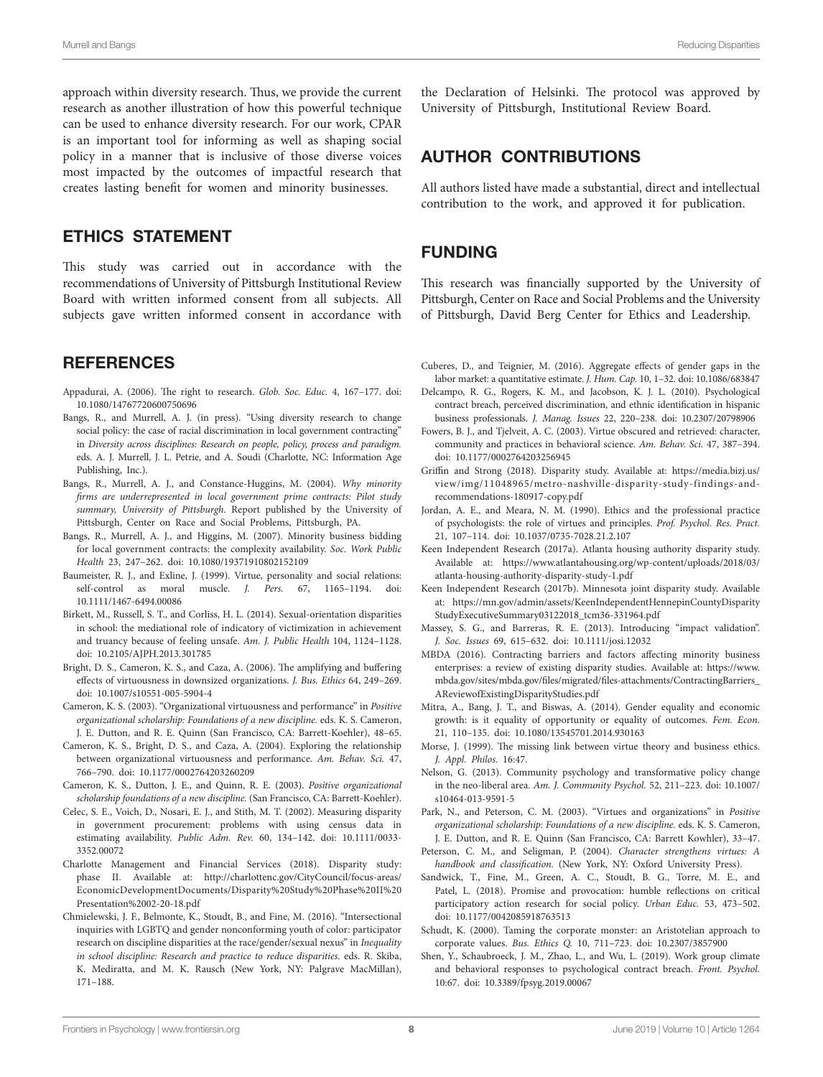approach within diversity research. Thus, we provide the current research as another illustration of how this powerful technique can be used to enhance diversity research. For our work, CPAR is an important tool for informing as well as shaping social policy in a manner that is inclusive of those diverse voices most impacted by the outcomes of impactful research that creates lasting benefit for women and minority businesses.

### ETHICS STATEMENT

This study was carried out in accordance with the recommendations of University of Pittsburgh Institutional Review Board with written informed consent from all subjects. All subjects gave written informed consent in accordance with

#### **REFERENCES**

- <span id="page-7-27"></span>Appadurai, A. (2006). The right to research. *Glob. Soc. Educ.* 4, 167–177. doi: [10.1080/14767720600750696](https://doi.org/10.1080/14767720600750696)
- <span id="page-7-23"></span>Bangs, R., and Murrell, A. J. (in press). "Using diversity research to change social policy: the case of racial discrimination in local government contracting" in *Diversity across disciplines: Research on people, policy, process and paradigm.* eds. A. J. Murrell, J. L. Petrie, and A. Soudi (Charlotte, NC: Information Age Publishing, Inc.).
- <span id="page-7-21"></span>Bangs, R., Murrell, A. J., and Constance-Huggins, M. (2004). *Why minority firms are underrepresented in local government prime contracts: Pilot study summary, University of Pittsburgh*. Report published by the University of Pittsburgh, Center on Race and Social Problems, Pittsburgh, PA.
- <span id="page-7-15"></span>Bangs, R., Murrell, A. J., and Higgins, M. (2007). Minority business bidding for local government contracts: the complexity availability. *Soc. Work Public Health* 23, 247–262. doi: [10.1080/19371910802152109](https://doi.org/10.1080/19371910802152109)
- <span id="page-7-8"></span>Baumeister, R. J., and Exline, J. (1999). Virtue, personality and social relations: self-control as moral muscle. *J. Pers.* 67, 1165–1194. doi: [10.1111/1467-6494.00086](https://doi.org/10.1111/1467-6494.00086)
- <span id="page-7-26"></span>Birkett, M., Russell, S. T., and Corliss, H. L. (2014). Sexual-orientation disparities in school: the mediational role of indicatory of victimization in achievement and truancy because of feeling unsafe. *Am. J. Public Health* 104, 1124–1128. doi: [10.2105/AJPH.2013.301785](https://doi.org/10.2105/AJPH.2013.301785)
- <span id="page-7-12"></span>Bright, D. S., Cameron, K. S., and Caza, A. (2006). The amplifying and buffering effects of virtuousness in downsized organizations. *J. Bus. Ethics* 64, 249–269. doi: [10.1007/s10551-005-5904-4](https://doi.org/10.1007/s10551-005-5904-4)
- <span id="page-7-2"></span>Cameron, K. S. (2003). "Organizational virtuousness and performance" in *Positive organizational scholarship: Foundations of a new discipline.* eds. K. S. Cameron, J. E. Dutton, and R. E. Quinn (San Francisco, CA: Barrett-Koehler), 48–65.
- <span id="page-7-11"></span>Cameron, K. S., Bright, D. S., and Caza, A. (2004). Exploring the relationship between organizational virtuousness and performance. *Am. Behav. Sci.* 47, 766–790. doi: [10.1177/0002764203260209](https://doi.org/10.1177/0002764203260209)
- <span id="page-7-3"></span>Cameron, K. S., Dutton, J. E., and Quinn, R. E. (2003). *Positive organizational scholarship foundations of a new discipline.* (San Francisco, CA: Barrett-Koehler).
- <span id="page-7-16"></span>Celec, S. E., Voich, D., Nosari, E. J., and Stith, M. T. (2002). Measuring disparity in government procurement: problems with using census data in estimating availability. *Public Adm. Rev.* 60, 134–142. doi: [10.1111/0033-](https://doi.org/10.1111/0033-3352.00072) [3352.00072](https://doi.org/10.1111/0033-3352.00072)
- <span id="page-7-17"></span>Charlotte Management and Financial Services (2018). Disparity study: phase II. Available at: [http://charlottenc.gov/CityCouncil/focus-areas/](http://charlottenc.gov/CityCouncil/focus-areas/EconomicDevelopmentDocuments/Disparity%20Study%20Phase%20II%20Presentation%2002-20-18.pdf) [EconomicDevelopmentDocuments/Disparity%20Study%20Phase%20II%20](http://charlottenc.gov/CityCouncil/focus-areas/EconomicDevelopmentDocuments/Disparity%20Study%20Phase%20II%20Presentation%2002-20-18.pdf) [Presentation%2002-20-18.pdf](http://charlottenc.gov/CityCouncil/focus-areas/EconomicDevelopmentDocuments/Disparity%20Study%20Phase%20II%20Presentation%2002-20-18.pdf)
- <span id="page-7-25"></span>Chmielewski, J. F., Belmonte, K., Stoudt, B., and Fine, M. (2016). "Intersectional inquiries with LGBTQ and gender nonconforming youth of color: participator research on discipline disparities at the race/gender/sexual nexus" in *Inequality in school discipline: Research and practice to reduce disparities.* eds. R. Skiba, K. Mediratta, and M. K. Rausch (New York, NY: Palgrave MacMillan), 171–188.

the Declaration of Helsinki. The protocol was approved by University of Pittsburgh, Institutional Review Board.

### AUTHOR CONTRIBUTIONS

All authors listed have made a substantial, direct and intellectual contribution to the work, and approved it for publication.

#### FUNDING

This research was financially supported by the University of Pittsburgh, Center on Race and Social Problems and the University of Pittsburgh, David Berg Center for Ethics and Leadership.

- <span id="page-7-14"></span>Cuberes, D., and Teignier, M. (2016). Aggregate effects of gender gaps in the labor market: a quantitative estimate. *J. Hum. Cap.* 10, 1–32. doi: [10.1086/683847](https://doi.org/10.1086/683847)
- <span id="page-7-1"></span>Delcampo, R. G., Rogers, K. M., and Jacobson, K. J. L. (2010). Psychological contract breach, perceived discrimination, and ethnic identification in hispanic business professionals. *J. Manag. Issues* 22, 220–238. doi: [10.2307/20798906](https://doi.org/10.2307/20798906)
- <span id="page-7-10"></span>Fowers, B. J., and Tjelveit, A. C. (2003). Virtue obscured and retrieved: character, community and practices in behavioral science. *Am. Behav. Sci.* 47, 387–394. doi: [10.1177/0002764203256945](https://doi.org/10.1177/0002764203256945)
- <span id="page-7-20"></span>Griffin and Strong (2018). Disparity study. Available at: [https://media.bizj.us/](https://media.bizj.us/view/img/11048965/metro-nashville-disparity-study-findings-and-recommendations-180917-copy.pdf) [view/img/11048965/metro-nashville-disparity-study-findings-and](https://media.bizj.us/view/img/11048965/metro-nashville-disparity-study-findings-and-recommendations-180917-copy.pdf)[recommendations-180917-copy.pdf](https://media.bizj.us/view/img/11048965/metro-nashville-disparity-study-findings-and-recommendations-180917-copy.pdf)
- <span id="page-7-7"></span>Jordan, A. E., and Meara, N. M. (1990). Ethics and the professional practice of psychologists: the role of virtues and principles. *Prof. Psychol. Res. Pract.* 21, 107–114. doi: [10.1037/0735-7028.21.2.107](https://doi.org/10.1037/0735-7028.21.2.107)
- <span id="page-7-18"></span>Keen Independent Research (2017a). Atlanta housing authority disparity study. Available at: [https://www.atlantahousing.org/wp-content/uploads/2018/03/](https://www.atlantahousing.org/wp-content/uploads/2018/03/atlanta-housing-authority-disparity-study-1.pdf) [atlanta-housing-authority-disparity-study-1.pdf](https://www.atlantahousing.org/wp-content/uploads/2018/03/atlanta-housing-authority-disparity-study-1.pdf)
- <span id="page-7-19"></span>Keen Independent Research (2017b). Minnesota joint disparity study. Available at: [https://mn.gov/admin/assets/KeenIndependentHennepinCountyDisparity](https://mn.gov/admin/assets/KeenIndependentHennepinCountyDisparityStudyExecutiveSummary03122018_tcm36-331964.pdf) [StudyExecutiveSummary03122018\\_tcm36-331964.pdf](https://mn.gov/admin/assets/KeenIndependentHennepinCountyDisparityStudyExecutiveSummary03122018_tcm36-331964.pdf)
- <span id="page-7-28"></span>Massey, S. G., and Barreras, R. E. (2013). Introducing "impact validation". *J. Soc. Issues* 69, 615–632. doi: [10.1111/josi.12032](https://doi.org/10.1111/josi.12032)
- <span id="page-7-0"></span>MBDA (2016). Contracting barriers and factors affecting minority business enterprises: a review of existing disparity studies. Available at: [https://www.](https://www.mbda.gov/sites/mbda.gov/files/migrated/files-attachments/ContractingBarriers_AReviewofExistingDisparityStudies.pdf) [mbda.gov/sites/mbda.gov/files/migrated/files-attachments/ContractingBarriers\\_](https://www.mbda.gov/sites/mbda.gov/files/migrated/files-attachments/ContractingBarriers_AReviewofExistingDisparityStudies.pdf) [AReviewofExistingDisparityStudies.pdf](https://www.mbda.gov/sites/mbda.gov/files/migrated/files-attachments/ContractingBarriers_AReviewofExistingDisparityStudies.pdf)
- <span id="page-7-22"></span>Mitra, A., Bang, J. T., and Biswas, A. (2014). Gender equality and economic growth: is it equality of opportunity or equality of outcomes. *Fem. Econ.* 21, 110–135. doi: [10.1080/13545701.2014.930163](https://doi.org/10.1080/13545701.2014.930163)
- <span id="page-7-4"></span>Morse, J. (1999). The missing link between virtue theory and business ethics. *J. Appl. Philos.* 16:47.
- <span id="page-7-29"></span>Nelson, G. (2013). Community psychology and transformative policy change in the neo-liberal area. *Am. J. Community Psychol.* 52, 211–223. doi: [10.1007/](https://doi.org/10.1007/s10464-013-9591-5) [s10464-013-9591-5](https://doi.org/10.1007/s10464-013-9591-5)
- <span id="page-7-6"></span>Park, N., and Peterson, C. M. (2003). "Virtues and organizations" in *Positive organizational scholarship: Foundations of a new discipline.* eds. K. S. Cameron, J. E. Dutton, and R. E. Quinn (San Francisco, CA: Barrett Kowhler), 33–47.
- <span id="page-7-9"></span>Peterson, C. M., and Seligman, P. (2004). *Character strengthens virtues: A handbook and classification.* (New York, NY: Oxford University Press).
- <span id="page-7-24"></span>Sandwick, T., Fine, M., Green, A. C., Stoudt, B. G., Torre, M. E., and Patel, L. (2018). Promise and provocation: humble reflections on critical participatory action research for social policy. *Urban Educ.* 53, 473–502. doi: [10.1177/0042085918763513](https://doi.org/10.1177/0042085918763513)
- <span id="page-7-5"></span>Schudt, K. (2000). Taming the corporate monster: an Aristotelian approach to corporate values. *Bus. Ethics Q.* 10, 711–723. doi: [10.2307/3857900](https://doi.org/10.2307/3857900)
- <span id="page-7-13"></span>Shen, Y., Schaubroeck, J. M., Zhao, L., and Wu, L. (2019). Work group climate and behavioral responses to psychological contract breach. *Front. Psychol.* 10:67. doi: [10.3389/fpsyg.2019.00067](https://doi.org/10.3389/fpsyg.2019.00067)